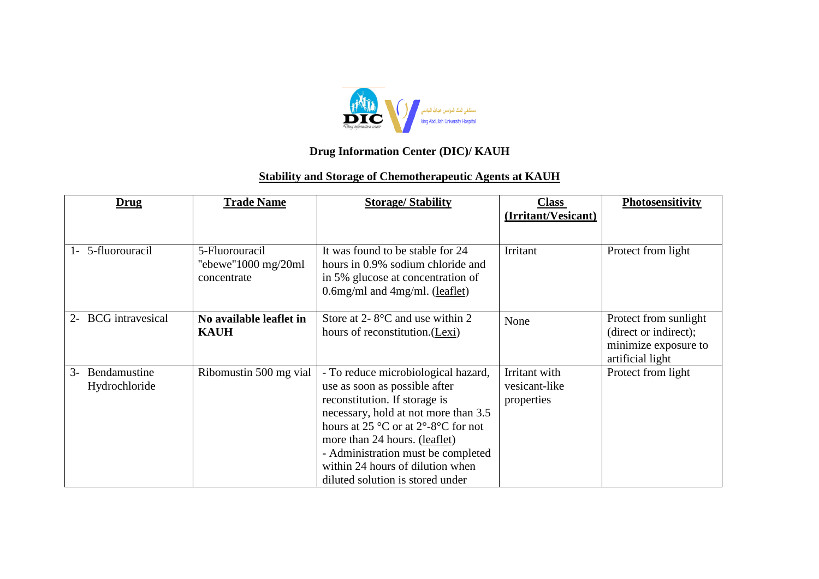

## **Drug Information Center (DIC)/ KAUH**

## **Stability and Storage of Chemotherapeutic Agents at KAUH**

| <u>Drug</u>                           | <b>Trade Name</b>                                                       | <b>Storage/Stability</b>                                                                                                                                                                                                                                                                                                                               | <b>Class</b><br>(Irritant/Vesicant)          | Photosensitivity                                                                           |
|---------------------------------------|-------------------------------------------------------------------------|--------------------------------------------------------------------------------------------------------------------------------------------------------------------------------------------------------------------------------------------------------------------------------------------------------------------------------------------------------|----------------------------------------------|--------------------------------------------------------------------------------------------|
| 5-fluorouracil<br>$\mathbf{I}$        | 5-Fluorouracil<br>"ebewe" $1000 \text{ mg}/20 \text{ml}$<br>concentrate | It was found to be stable for 24<br>hours in 0.9% sodium chloride and<br>in 5% glucose at concentration of<br>$0.6$ mg/ml and $4$ mg/ml. (leaflet)                                                                                                                                                                                                     | Irritant                                     | Protect from light                                                                         |
| <b>BCG</b> intravesical<br>$2-$       | No available leaflet in<br><b>KAUH</b>                                  | Store at 2- $8^{\circ}$ C and use within 2<br>hours of reconstitution. (Lexi)                                                                                                                                                                                                                                                                          | None                                         | Protect from sunlight<br>(direct or indirect);<br>minimize exposure to<br>artificial light |
| Bendamustine<br>$3-$<br>Hydrochloride | Ribomustin 500 mg vial                                                  | - To reduce microbiological hazard,<br>use as soon as possible after<br>reconstitution. If storage is<br>necessary, hold at not more than 3.5<br>hours at $25^{\circ}$ C or at $2^{\circ}$ -8°C for not<br>more than 24 hours. (leaflet)<br>- Administration must be completed<br>within 24 hours of dilution when<br>diluted solution is stored under | Irritant with<br>vesicant-like<br>properties | Protect from light                                                                         |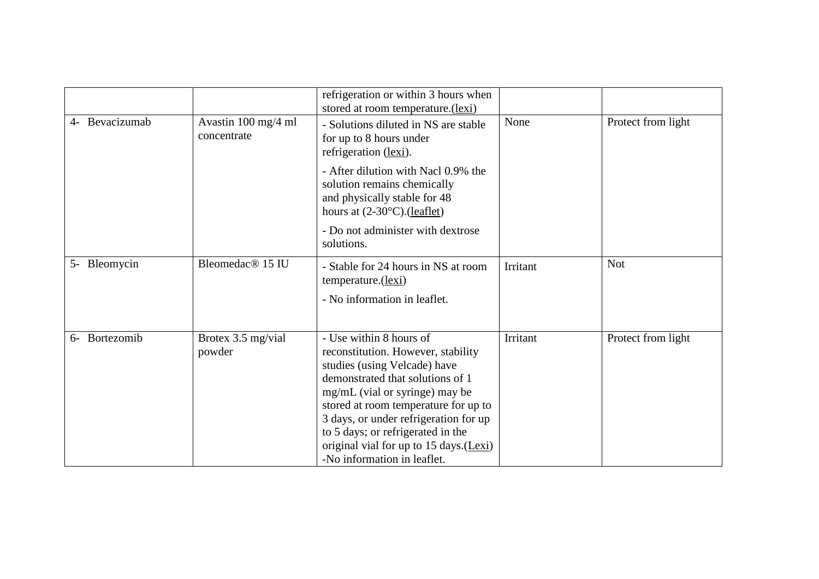|                  |                                    | refrigeration or within 3 hours when<br>stored at room temperature.(lexi)                                                                                                                                                                                                                                                                                          |          |                    |
|------------------|------------------------------------|--------------------------------------------------------------------------------------------------------------------------------------------------------------------------------------------------------------------------------------------------------------------------------------------------------------------------------------------------------------------|----------|--------------------|
| 4- Bevacizumab   | Avastin 100 mg/4 ml<br>concentrate | - Solutions diluted in NS are stable<br>for up to 8 hours under<br>refrigeration (lexi).                                                                                                                                                                                                                                                                           | None     | Protect from light |
|                  |                                    | - After dilution with Nacl 0.9% the<br>solution remains chemically<br>and physically stable for 48<br>hours at $(2-30^{\circ}C)$ . (leaflet)                                                                                                                                                                                                                       |          |                    |
|                  |                                    | - Do not administer with dextrose<br>solutions.                                                                                                                                                                                                                                                                                                                    |          |                    |
| 5- Bleomycin     | Bleomedac <sup>®</sup> 15 IU       | - Stable for 24 hours in NS at room<br>temperature.(lexi)                                                                                                                                                                                                                                                                                                          | Irritant | <b>Not</b>         |
|                  |                                    | - No information in leaflet.                                                                                                                                                                                                                                                                                                                                       |          |                    |
| Bortezomib<br>6- | Brotex 3.5 mg/vial<br>powder       | - Use within 8 hours of<br>reconstitution. However, stability<br>studies (using Velcade) have<br>demonstrated that solutions of 1<br>mg/mL (vial or syringe) may be<br>stored at room temperature for up to<br>3 days, or under refrigeration for up<br>to 5 days; or refrigerated in the<br>original vial for up to 15 days.(Lexi)<br>-No information in leaflet. | Irritant | Protect from light |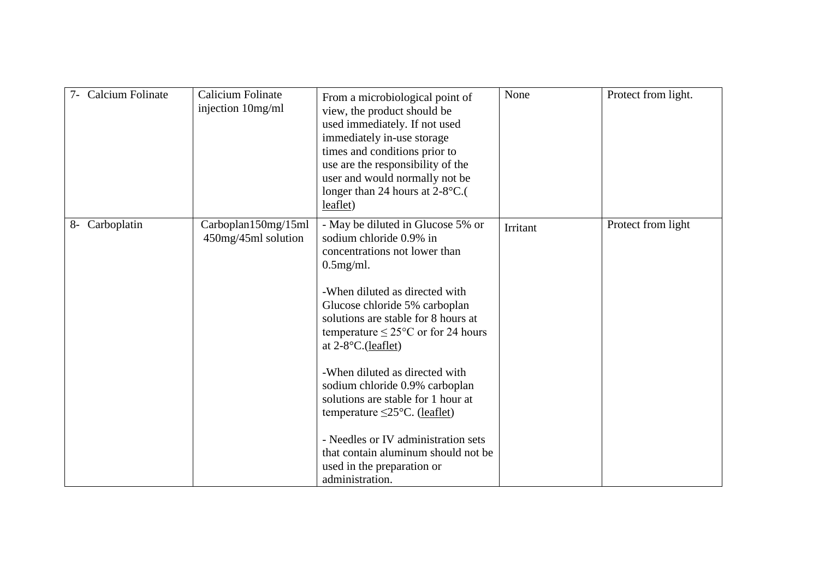| <b>Calcium Folinate</b> | Calicium Folinate<br>injection 10mg/ml     | From a microbiological point of<br>view, the product should be<br>used immediately. If not used<br>immediately in-use storage<br>times and conditions prior to<br>use are the responsibility of the<br>user and would normally not be<br>longer than 24 hours at $2-8$ °C.(<br>leaflet)                                                                                                                                                                                                                                                                                    | None            | Protect from light. |
|-------------------------|--------------------------------------------|----------------------------------------------------------------------------------------------------------------------------------------------------------------------------------------------------------------------------------------------------------------------------------------------------------------------------------------------------------------------------------------------------------------------------------------------------------------------------------------------------------------------------------------------------------------------------|-----------------|---------------------|
| 8- Carboplatin          | Carboplan150mg/15ml<br>450mg/45ml solution | - May be diluted in Glucose 5% or<br>sodium chloride 0.9% in<br>concentrations not lower than<br>$0.5$ mg/ml.<br>-When diluted as directed with<br>Glucose chloride 5% carboplan<br>solutions are stable for 8 hours at<br>temperature $\leq$ 25°C or for 24 hours<br>at $2-8$ °C.(leaflet)<br>-When diluted as directed with<br>sodium chloride 0.9% carboplan<br>solutions are stable for 1 hour at<br>temperature $\leq$ 25°C. (leaflet)<br>- Needles or IV administration sets<br>that contain aluminum should not be<br>used in the preparation or<br>administration. | <b>Irritant</b> | Protect from light  |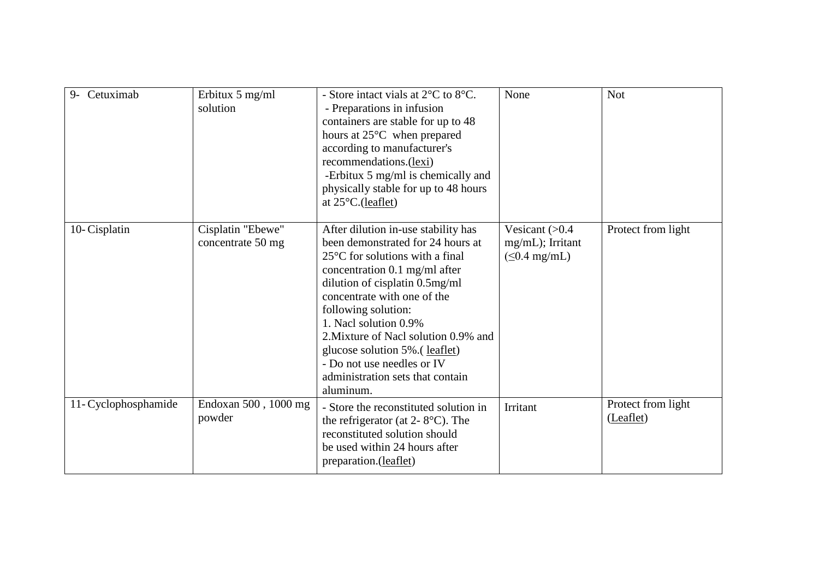| Cetuximab<br>$9-$    | Erbitux 5 mg/ml<br>solution            | - Store intact vials at 2°C to 8°C.<br>- Preparations in infusion<br>containers are stable for up to 48<br>hours at 25°C when prepared<br>according to manufacturer's<br>recommendations.(lexi)<br>-Erbitux 5 mg/ml is chemically and<br>physically stable for up to 48 hours<br>at $25^{\circ}$ C.(leaflet)                                                                                                                     | None                                                        | <b>Not</b>                      |
|----------------------|----------------------------------------|----------------------------------------------------------------------------------------------------------------------------------------------------------------------------------------------------------------------------------------------------------------------------------------------------------------------------------------------------------------------------------------------------------------------------------|-------------------------------------------------------------|---------------------------------|
| 10-Cisplatin         | Cisplatin "Ebewe"<br>concentrate 50 mg | After dilution in-use stability has<br>been demonstrated for 24 hours at<br>$25^{\circ}$ C for solutions with a final<br>concentration 0.1 mg/ml after<br>dilution of cisplatin 0.5mg/ml<br>concentrate with one of the<br>following solution:<br>1. Nacl solution 0.9%<br>2. Mixture of Nacl solution 0.9% and<br>glucose solution 5%. (leaflet)<br>- Do not use needles or IV<br>administration sets that contain<br>aluminum. | Vesicant $(>0.4)$<br>mg/mL); Irritant<br>$(\leq 0.4$ mg/mL) | Protect from light              |
| 11- Cyclophosphamide | Endoxan 500, 1000 mg<br>powder         | - Store the reconstituted solution in<br>the refrigerator (at $2 - 8$ °C). The<br>reconstituted solution should<br>be used within 24 hours after<br>preparation.(leaflet)                                                                                                                                                                                                                                                        | Irritant                                                    | Protect from light<br>(Leaflet) |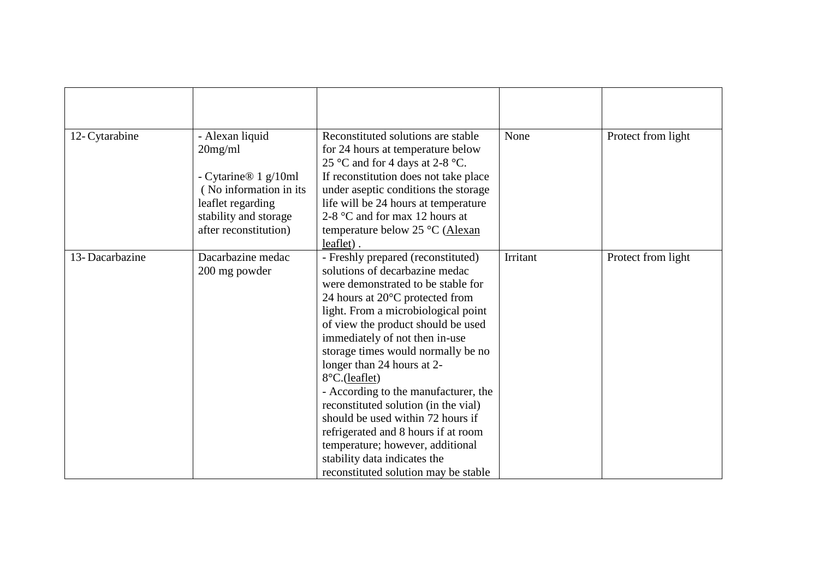| 12- Cytarabine | - Alexan liquid<br>$20$ mg/ml<br>- Cytarine® $1$ g/10ml<br>(No information in its<br>leaflet regarding<br>stability and storage<br>after reconstitution) | Reconstituted solutions are stable<br>for 24 hours at temperature below<br>25 °C and for 4 days at 2-8 °C.<br>If reconstitution does not take place<br>under aseptic conditions the storage<br>life will be 24 hours at temperature<br>2-8 $\degree$ C and for max 12 hours at<br>temperature below 25 °C (Alexan<br>leaflet).                                                                                                                                                                                                                                                                                                      | None     | Protect from light |
|----------------|----------------------------------------------------------------------------------------------------------------------------------------------------------|-------------------------------------------------------------------------------------------------------------------------------------------------------------------------------------------------------------------------------------------------------------------------------------------------------------------------------------------------------------------------------------------------------------------------------------------------------------------------------------------------------------------------------------------------------------------------------------------------------------------------------------|----------|--------------------|
| 13-Dacarbazine | Dacarbazine medac<br>200 mg powder                                                                                                                       | - Freshly prepared (reconstituted)<br>solutions of decarbazine medac<br>were demonstrated to be stable for<br>24 hours at $20^{\circ}$ C protected from<br>light. From a microbiological point<br>of view the product should be used<br>immediately of not then in-use<br>storage times would normally be no<br>longer than 24 hours at 2-<br>8°C.(leaflet)<br>- According to the manufacturer, the<br>reconstituted solution (in the vial)<br>should be used within 72 hours if<br>refrigerated and 8 hours if at room<br>temperature; however, additional<br>stability data indicates the<br>reconstituted solution may be stable | Irritant | Protect from light |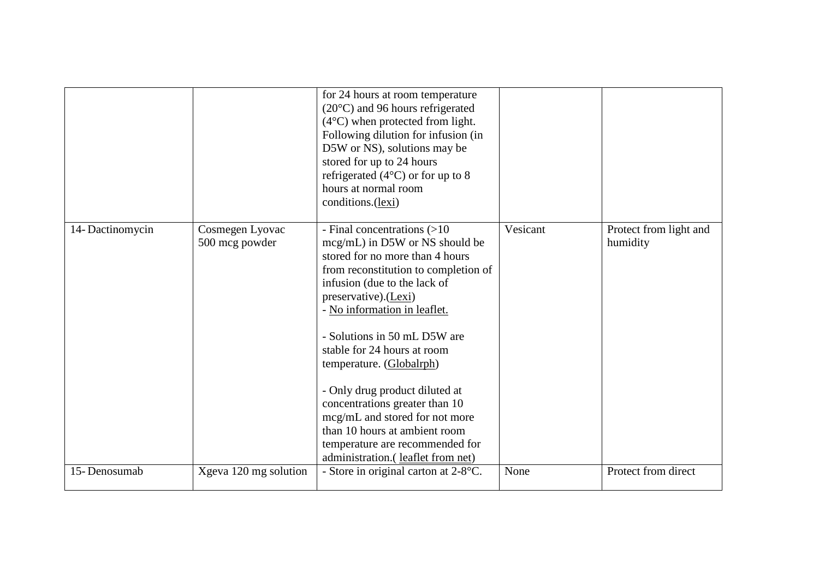|                 |                                   | for 24 hours at room temperature<br>$(20^{\circ}C)$ and 96 hours refrigerated<br>$(4^{\circ}C)$ when protected from light.<br>Following dilution for infusion (in<br>D5W or NS), solutions may be<br>stored for up to 24 hours<br>refrigerated $(4^{\circ}C)$ or for up to 8<br>hours at normal room<br>conditions.(lexi)                                                                                                                                                                                                                   |          |                                    |
|-----------------|-----------------------------------|---------------------------------------------------------------------------------------------------------------------------------------------------------------------------------------------------------------------------------------------------------------------------------------------------------------------------------------------------------------------------------------------------------------------------------------------------------------------------------------------------------------------------------------------|----------|------------------------------------|
| 14-Dactinomycin | Cosmegen Lyovac<br>500 mcg powder | - Final concentrations (>10<br>mcg/mL) in D5W or NS should be<br>stored for no more than 4 hours<br>from reconstitution to completion of<br>infusion (due to the lack of<br>preservative).(Lexi)<br>- No information in leaflet.<br>- Solutions in 50 mL D5W are<br>stable for 24 hours at room<br>temperature. (Globalrph)<br>- Only drug product diluted at<br>concentrations greater than 10<br>mcg/mL and stored for not more<br>than 10 hours at ambient room<br>temperature are recommended for<br>administration. (leaflet from net) | Vesicant | Protect from light and<br>humidity |
| 15-Denosumab    | Xgeva 120 mg solution             | - Store in original carton at 2-8°C.                                                                                                                                                                                                                                                                                                                                                                                                                                                                                                        | None     | Protect from direct                |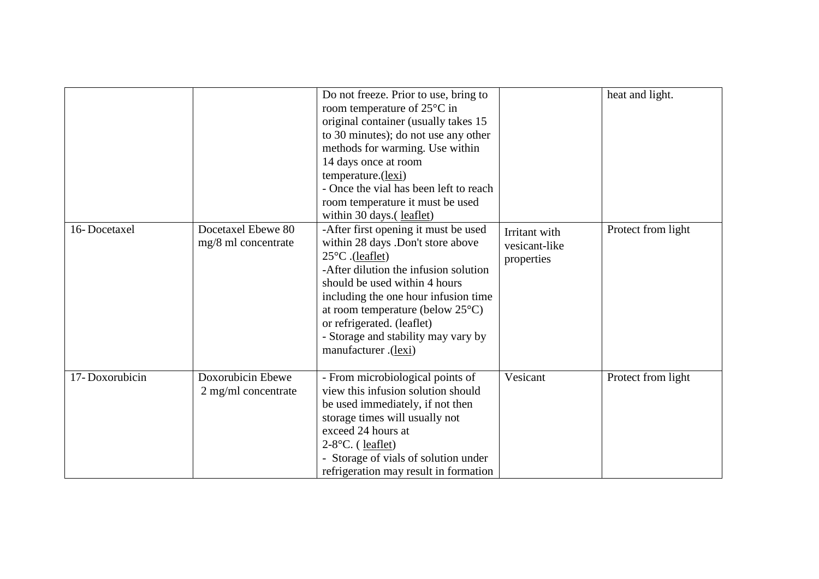|                |                                            | Do not freeze. Prior to use, bring to<br>room temperature of $25^{\circ}$ C in<br>original container (usually takes 15<br>to 30 minutes); do not use any other<br>methods for warming. Use within<br>14 days once at room<br>temperature.(lexi)<br>- Once the vial has been left to reach<br>room temperature it must be used<br>within 30 days.(leaflet)          |                                              | heat and light.    |
|----------------|--------------------------------------------|--------------------------------------------------------------------------------------------------------------------------------------------------------------------------------------------------------------------------------------------------------------------------------------------------------------------------------------------------------------------|----------------------------------------------|--------------------|
| 16-Docetaxel   | Docetaxel Ebewe 80<br>mg/8 ml concentrate  | -After first opening it must be used<br>within 28 days .Don't store above<br>$25^{\circ}$ C .(leaflet)<br>-After dilution the infusion solution<br>should be used within 4 hours<br>including the one hour infusion time<br>at room temperature (below $25^{\circ}$ C)<br>or refrigerated. (leaflet)<br>- Storage and stability may vary by<br>manufacturer.(lexi) | Irritant with<br>vesicant-like<br>properties | Protect from light |
| 17-Doxorubicin | Doxorubicin Ebewe<br>$2$ mg/ml concentrate | - From microbiological points of<br>view this infusion solution should<br>be used immediately, if not then<br>storage times will usually not<br>exceed 24 hours at<br>$2-8$ °C. (leaflet)<br>- Storage of vials of solution under<br>refrigeration may result in formation                                                                                         | Vesicant                                     | Protect from light |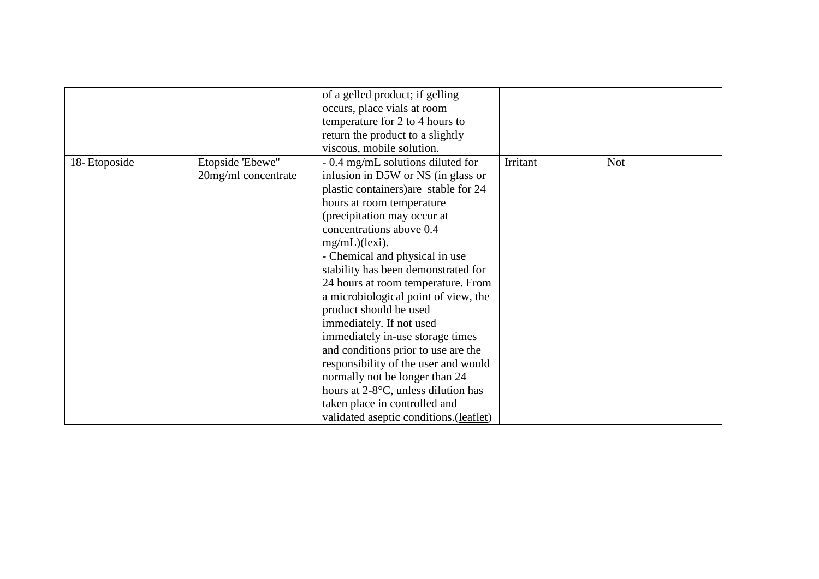|              |                     | of a gelled product; if gelling         |          |            |
|--------------|---------------------|-----------------------------------------|----------|------------|
|              |                     | occurs, place vials at room             |          |            |
|              |                     | temperature for 2 to 4 hours to         |          |            |
|              |                     | return the product to a slightly        |          |            |
|              |                     | viscous, mobile solution.               |          |            |
| 18-Etoposide | Etopside 'Ebewe"    | - 0.4 mg/mL solutions diluted for       | Irritant | <b>Not</b> |
|              | 20mg/ml concentrate | infusion in D5W or NS (in glass or      |          |            |
|              |                     | plastic containers) are stable for 24   |          |            |
|              |                     | hours at room temperature               |          |            |
|              |                     | (precipitation may occur at             |          |            |
|              |                     | concentrations above 0.4                |          |            |
|              |                     | mg/mL)(lexi).                           |          |            |
|              |                     | - Chemical and physical in use          |          |            |
|              |                     | stability has been demonstrated for     |          |            |
|              |                     | 24 hours at room temperature. From      |          |            |
|              |                     | a microbiological point of view, the    |          |            |
|              |                     | product should be used                  |          |            |
|              |                     | immediately. If not used                |          |            |
|              |                     | immediately in-use storage times        |          |            |
|              |                     | and conditions prior to use are the     |          |            |
|              |                     | responsibility of the user and would    |          |            |
|              |                     | normally not be longer than 24          |          |            |
|              |                     | hours at 2-8°C, unless dilution has     |          |            |
|              |                     | taken place in controlled and           |          |            |
|              |                     |                                         |          |            |
|              |                     | validated aseptic conditions. (leaflet) |          |            |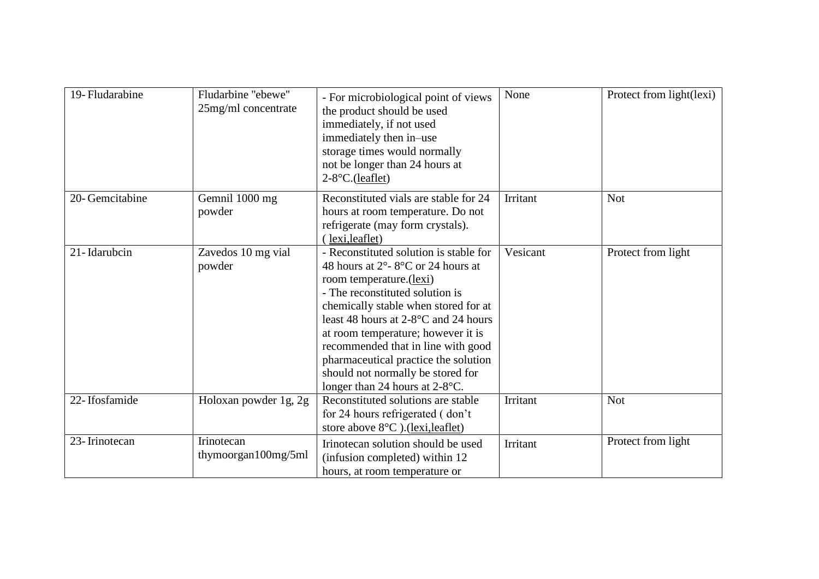| 19- Fludarabine | Fludarbine "ebewe"<br>25mg/ml concentrate | - For microbiological point of views<br>the product should be used<br>immediately, if not used<br>immediately then in-use<br>storage times would normally<br>not be longer than 24 hours at<br>$2-8$ °C.(leaflet)                                                                                                                                                                                                          | None     | Protect from light(lexi) |
|-----------------|-------------------------------------------|----------------------------------------------------------------------------------------------------------------------------------------------------------------------------------------------------------------------------------------------------------------------------------------------------------------------------------------------------------------------------------------------------------------------------|----------|--------------------------|
| 20- Gemcitabine | Gemnil 1000 mg<br>powder                  | Reconstituted vials are stable for 24<br>hours at room temperature. Do not<br>refrigerate (may form crystals).<br>(lexi, leaflet)                                                                                                                                                                                                                                                                                          | Irritant | <b>Not</b>               |
| 21-Idarubcin    | Zavedos 10 mg vial<br>powder              | - Reconstituted solution is stable for<br>48 hours at 2°-8°C or 24 hours at<br>room temperature.(lexi)<br>- The reconstituted solution is<br>chemically stable when stored for at<br>least 48 hours at $2-8$ °C and 24 hours<br>at room temperature; however it is<br>recommended that in line with good<br>pharmaceutical practice the solution<br>should not normally be stored for<br>longer than 24 hours at $2-8$ °C. | Vesicant | Protect from light       |
| 22-Ifosfamide   | Holoxan powder 1g, 2g                     | Reconstituted solutions are stable<br>for 24 hours refrigerated (don't)<br>store above $8^{\circ}$ C). (lexi, leaflet)                                                                                                                                                                                                                                                                                                     | Irritant | <b>Not</b>               |
| 23-Irinotecan   | Irinotecan<br>thymoorgan $100mg/5ml$      | Irinotecan solution should be used<br>(infusion completed) within 12<br>hours, at room temperature or                                                                                                                                                                                                                                                                                                                      | Irritant | Protect from light       |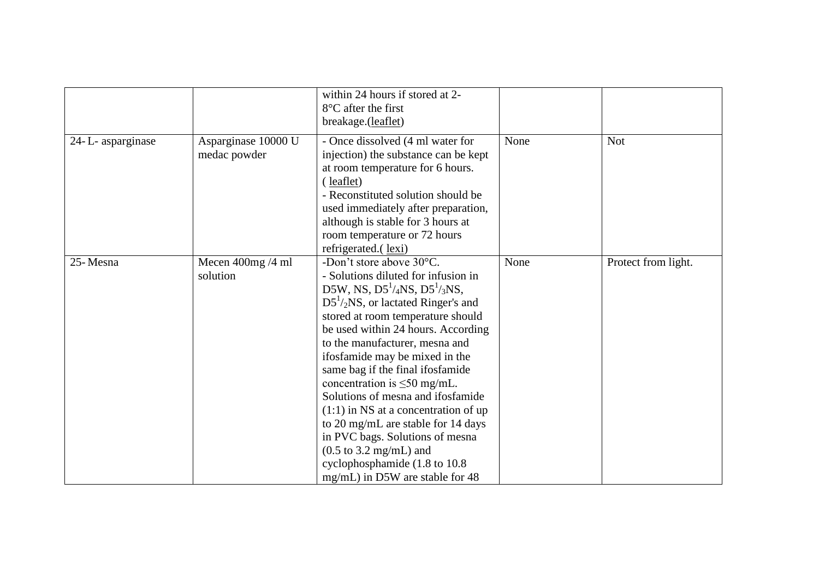|                  |                                     | within 24 hours if stored at 2-<br>$8^{\circ}$ C after the first<br>breakage.(leaflet)                                                                                                                                                                                                                                                                                                                                                                                                                                                                                                                                                          |      |                     |
|------------------|-------------------------------------|-------------------------------------------------------------------------------------------------------------------------------------------------------------------------------------------------------------------------------------------------------------------------------------------------------------------------------------------------------------------------------------------------------------------------------------------------------------------------------------------------------------------------------------------------------------------------------------------------------------------------------------------------|------|---------------------|
| 24-L-asparginase | Asparginase 10000 U<br>medac powder | - Once dissolved (4 ml water for<br>injection) the substance can be kept<br>at room temperature for 6 hours.<br>(leaflet)<br>- Reconstituted solution should be<br>used immediately after preparation,<br>although is stable for 3 hours at<br>room temperature or 72 hours<br>refrigerated.(lexi)                                                                                                                                                                                                                                                                                                                                              | None | <b>Not</b>          |
| 25-Mesna         | Mecen 400mg /4 ml<br>solution       | -Don't store above 30°C.<br>- Solutions diluted for infusion in<br>D5W, NS, $D5^1/4NS$ , $D5^1/3NS$ ,<br>$D51/2NS$ , or lactated Ringer's and<br>stored at room temperature should<br>be used within 24 hours. According<br>to the manufacturer, mesna and<br>ifosfamide may be mixed in the<br>same bag if the final ifosfamide<br>concentration is $\leq 50$ mg/mL.<br>Solutions of mesna and ifosfamide<br>$(1:1)$ in NS at a concentration of up<br>to 20 mg/mL are stable for 14 days<br>in PVC bags. Solutions of mesna<br>$(0.5 \text{ to } 3.2 \text{ mg/mL})$ and<br>cyclophosphamide (1.8 to 10.8)<br>mg/mL) in D5W are stable for 48 | None | Protect from light. |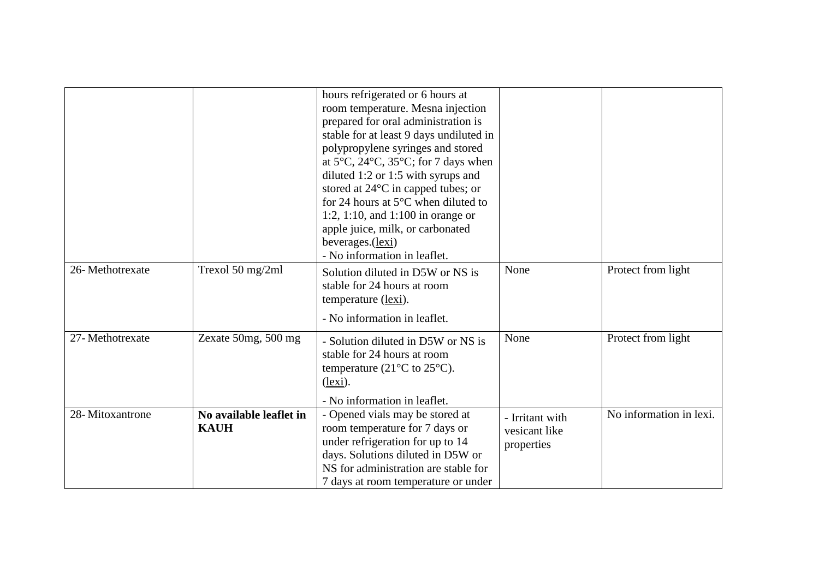|                 |                                        | hours refrigerated or 6 hours at<br>room temperature. Mesna injection<br>prepared for oral administration is<br>stable for at least 9 days undiluted in<br>polypropylene syringes and stored<br>at $5^{\circ}$ C, $24^{\circ}$ C, $35^{\circ}$ C; for 7 days when<br>diluted 1:2 or 1:5 with syrups and<br>stored at $24^{\circ}$ C in capped tubes; or<br>for 24 hours at $5^{\circ}$ C when diluted to<br>1:2, 1:10, and 1:100 in orange or<br>apple juice, milk, or carbonated<br>beverages.(lexi)<br>- No information in leaflet. |                                                |                         |
|-----------------|----------------------------------------|---------------------------------------------------------------------------------------------------------------------------------------------------------------------------------------------------------------------------------------------------------------------------------------------------------------------------------------------------------------------------------------------------------------------------------------------------------------------------------------------------------------------------------------|------------------------------------------------|-------------------------|
| 26-Methotrexate | Trexol 50 mg/2ml                       | Solution diluted in D5W or NS is<br>stable for 24 hours at room<br>temperature (lexi).<br>- No information in leaflet.                                                                                                                                                                                                                                                                                                                                                                                                                | None                                           | Protect from light      |
|                 |                                        |                                                                                                                                                                                                                                                                                                                                                                                                                                                                                                                                       |                                                |                         |
| 27-Methotrexate | Zexate $50mg$ , $500mg$                | - Solution diluted in D5W or NS is<br>stable for 24 hours at room<br>temperature (21 $\rm{^{\circ}C}$ to 25 $\rm{^{\circ}C}$ ).<br>$$<br>- No information in leaflet.                                                                                                                                                                                                                                                                                                                                                                 | None                                           | Protect from light      |
|                 |                                        |                                                                                                                                                                                                                                                                                                                                                                                                                                                                                                                                       |                                                |                         |
| 28-Mitoxantrone | No available leaflet in<br><b>KAUH</b> | - Opened vials may be stored at<br>room temperature for 7 days or<br>under refrigeration for up to 14<br>days. Solutions diluted in D5W or<br>NS for administration are stable for<br>7 days at room temperature or under                                                                                                                                                                                                                                                                                                             | - Irritant with<br>vesicant like<br>properties | No information in lexi. |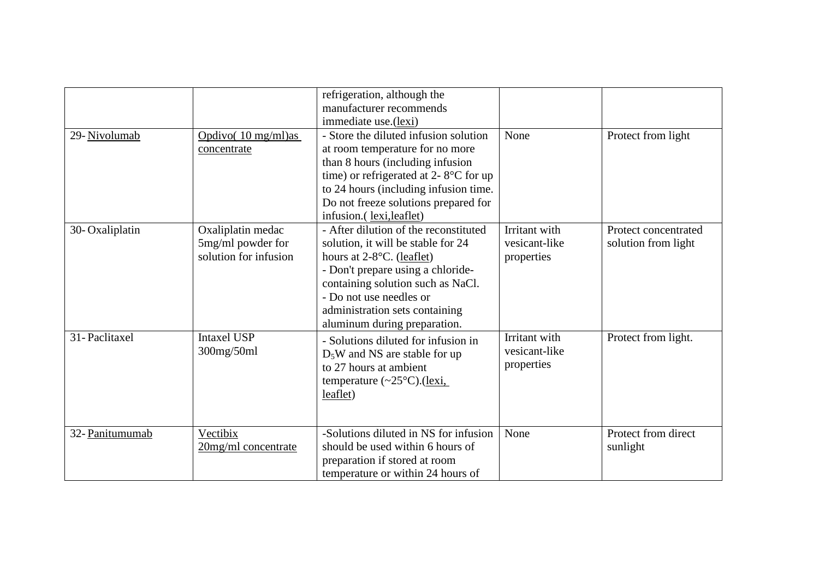|                 |                                                                 | refrigeration, although the<br>manufacturer recommends<br>immediate use.(lexi)                                                                                                                                                                                                     |                                              |                                             |
|-----------------|-----------------------------------------------------------------|------------------------------------------------------------------------------------------------------------------------------------------------------------------------------------------------------------------------------------------------------------------------------------|----------------------------------------------|---------------------------------------------|
| 29-Nivolumab    | Opdivo $(10 \text{ mg/ml})$ as<br>concentrate                   | - Store the diluted infusion solution<br>at room temperature for no more<br>than 8 hours (including infusion<br>time) or refrigerated at 2- $8^{\circ}$ C for up<br>to 24 hours (including infusion time.<br>Do not freeze solutions prepared for<br>infusion.(lexi,leaflet)       | None                                         | Protect from light                          |
| 30-Oxaliplatin  | Oxaliplatin medac<br>5mg/ml powder for<br>solution for infusion | - After dilution of the reconstituted<br>solution, it will be stable for 24<br>hours at $2-8$ °C. (leaflet)<br>- Don't prepare using a chloride-<br>containing solution such as NaCl.<br>- Do not use needles or<br>administration sets containing<br>aluminum during preparation. | Irritant with<br>vesicant-like<br>properties | Protect concentrated<br>solution from light |
| 31-Paclitaxel   | <b>Intaxel USP</b><br>300mg/50ml                                | - Solutions diluted for infusion in<br>$D_5W$ and NS are stable for up<br>to 27 hours at ambient<br>temperature $(\sim 25^{\circ}C)$ . (lexi,<br>leaflet)                                                                                                                          | Irritant with<br>vesicant-like<br>properties | Protect from light.                         |
| 32- Panitumumab | Vectibix<br>20mg/ml concentrate                                 | -Solutions diluted in NS for infusion<br>should be used within 6 hours of<br>preparation if stored at room<br>temperature or within 24 hours of                                                                                                                                    | None                                         | Protect from direct<br>sunlight             |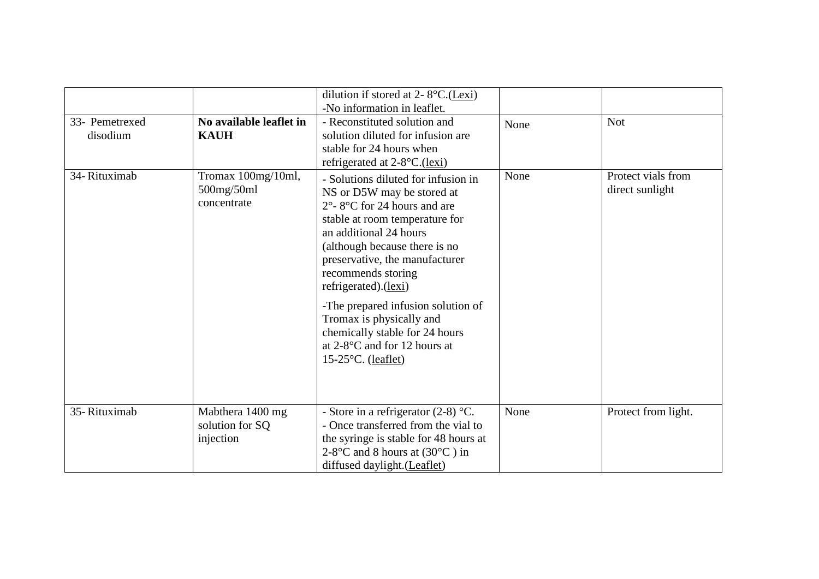| 33- Pemetrexed<br>disodium | No available leaflet in<br><b>KAUH</b>           | dilution if stored at 2- $8^{\circ}$ C.(Lexi)<br>-No information in leaflet.<br>- Reconstituted solution and<br>solution diluted for infusion are<br>stable for 24 hours when<br>refrigerated at $2-8$ <sup>o</sup> C.(lexi)                                                                                                                                                                                                                             | None | <b>Not</b>                            |
|----------------------------|--------------------------------------------------|----------------------------------------------------------------------------------------------------------------------------------------------------------------------------------------------------------------------------------------------------------------------------------------------------------------------------------------------------------------------------------------------------------------------------------------------------------|------|---------------------------------------|
| 34-Rituximab               | Tromax 100mg/10ml,<br>500mg/50ml<br>concentrate  | - Solutions diluted for infusion in<br>NS or D5W may be stored at<br>$2^{\circ}$ - 8°C for 24 hours and are<br>stable at room temperature for<br>an additional 24 hours<br>(although because there is no<br>preservative, the manufacturer<br>recommends storing<br>refrigerated).(lexi)<br>-The prepared infusion solution of<br>Tromax is physically and<br>chemically stable for 24 hours<br>at $2-8$ °C and for 12 hours at<br>$15-25$ °C. (leaflet) | None | Protect vials from<br>direct sunlight |
| 35-Rituximab               | Mabthera 1400 mg<br>solution for SQ<br>injection | - Store in a refrigerator $(2-8)$ °C.<br>- Once transferred from the vial to<br>the syringe is stable for 48 hours at<br>2-8°C and 8 hours at $(30^{\circ}C)$ in<br>diffused daylight. (Leaflet)                                                                                                                                                                                                                                                         | None | Protect from light.                   |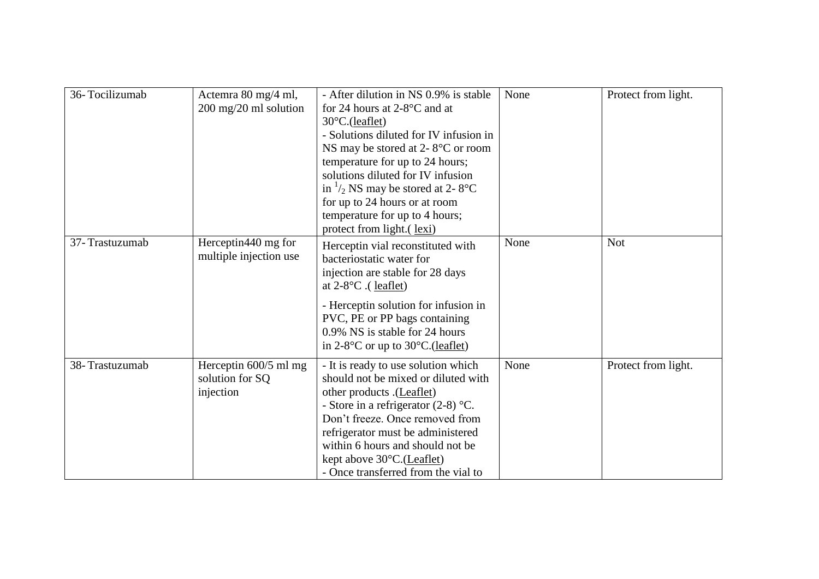| 36-Tocilizumab | Actemra 80 mg/4 ml,<br>200 mg/20 ml solution          | - After dilution in NS 0.9% is stable<br>for 24 hours at $2-8$ °C and at<br>30°C.(leaflet)<br>- Solutions diluted for IV infusion in<br>NS may be stored at 2- $8^{\circ}$ C or room<br>temperature for up to 24 hours;<br>solutions diluted for IV infusion<br>in $\frac{1}{2}$ NS may be stored at 2-8°C<br>for up to 24 hours or at room<br>temperature for up to 4 hours;<br>protect from light.(lexi) | None | Protect from light. |
|----------------|-------------------------------------------------------|------------------------------------------------------------------------------------------------------------------------------------------------------------------------------------------------------------------------------------------------------------------------------------------------------------------------------------------------------------------------------------------------------------|------|---------------------|
| 37-Trastuzumab | Herceptin440 mg for<br>multiple injection use         | Herceptin vial reconstituted with<br>bacteriostatic water for<br>injection are stable for 28 days<br>at $2-8$ °C. (leaflet)<br>- Herceptin solution for infusion in<br>PVC, PE or PP bags containing<br>0.9% NS is stable for 24 hours<br>in $2-8$ °C or up to $30$ °C.(leaflet)                                                                                                                           | None | <b>Not</b>          |
| 38-Trastuzumab | Herceptin 600/5 ml mg<br>solution for SQ<br>injection | - It is ready to use solution which<br>should not be mixed or diluted with<br>other products .(Leaflet)<br>- Store in a refrigerator $(2-8)$ °C.<br>Don't freeze. Once removed from<br>refrigerator must be administered<br>within 6 hours and should not be<br>kept above $30^{\circ}$ C.(Leaflet)<br>- Once transferred from the vial to                                                                 | None | Protect from light. |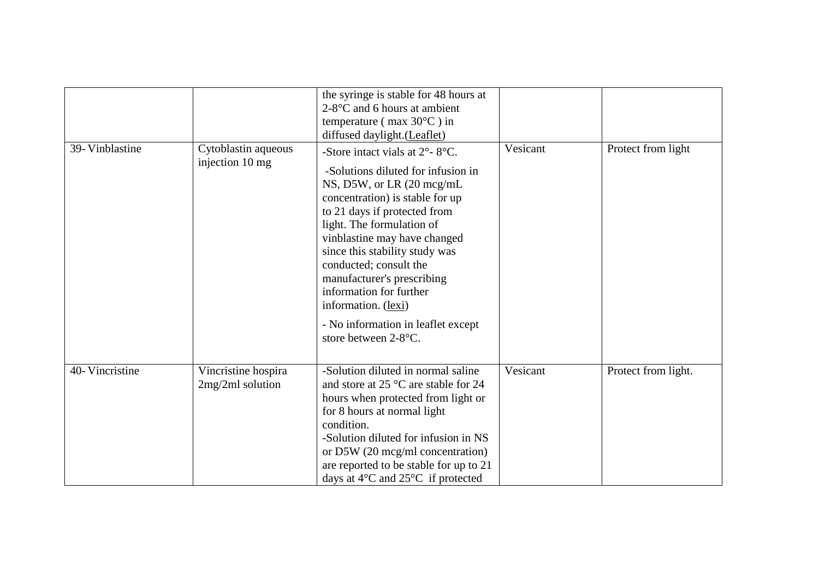|                 |                                         | the syringe is stable for 48 hours at<br>$2-8$ °C and 6 hours at ambient<br>temperature ( $max 30^{\circ}$ C) in<br>diffused daylight. (Leaflet)                                                                                                                                                                                                                                                                                                                  |          |                     |
|-----------------|-----------------------------------------|-------------------------------------------------------------------------------------------------------------------------------------------------------------------------------------------------------------------------------------------------------------------------------------------------------------------------------------------------------------------------------------------------------------------------------------------------------------------|----------|---------------------|
| 39- Vinblastine | Cytoblastin aqueous<br>injection 10 mg  | -Store intact vials at $2^{\circ}$ - $8^{\circ}$ C.<br>-Solutions diluted for infusion in<br>NS, D5W, or LR (20 mcg/mL)<br>concentration) is stable for up<br>to 21 days if protected from<br>light. The formulation of<br>vinblastine may have changed<br>since this stability study was<br>conducted; consult the<br>manufacturer's prescribing<br>information for further<br>information. (lexi)<br>- No information in leaflet except<br>store between 2-8°C. | Vesicant | Protect from light  |
| 40-Vincristine  | Vincristine hospira<br>2mg/2ml solution | -Solution diluted in normal saline<br>and store at $25^{\circ}$ C are stable for 24<br>hours when protected from light or<br>for 8 hours at normal light<br>condition.<br>-Solution diluted for infusion in NS<br>or D5W (20 mcg/ml concentration)<br>are reported to be stable for up to 21<br>days at $4^{\circ}$ C and $25^{\circ}$ C if protected                                                                                                             | Vesicant | Protect from light. |